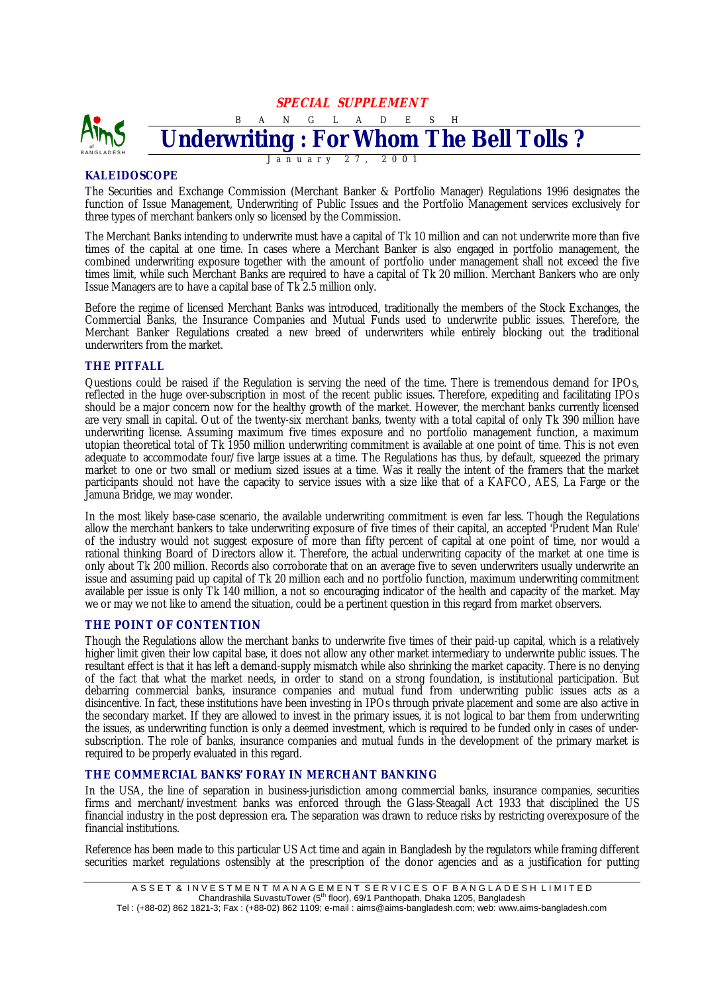**SPECIAL SUPPLEMENT** 



# **KALEIDOSCOPE**

The Securities and Exchange Commission (Merchant Banker & Portfolio Manager) Regulations 1996 designates the function of Issue Management, Underwriting of Public Issues and the Portfolio Management services exclusively for three types of merchant bankers only so licensed by the Commission.

The Merchant Banks intending to underwrite must have a capital of Tk 10 million and can not underwrite more than five times of the capital at one time. In cases where a Merchant Banker is also engaged in portfolio management, the combined underwriting exposure together with the amount of portfolio under management shall not exceed the five times limit, while such Merchant Banks are required to have a capital of Tk 20 million. Merchant Bankers who are only Issue Managers are to have a capital base of Tk 2.5 million only.

Before the regime of licensed Merchant Banks was introduced, traditionally the members of the Stock Exchanges, the Commercial Banks, the Insurance Companies and Mutual Funds used to underwrite public issues. Therefore, the Merchant Banker Regulations created a new breed of underwriters while entirely blocking out the traditional underwriters from the market.

## **THE PITFALL**

Questions could be raised if the Regulation is serving the need of the time. There is tremendous demand for IPOs, reflected in the huge over-subscription in most of the recent public issues. Therefore, expediting and facilitating IPOs should be a major concern now for the healthy growth of the market. However, the merchant banks currently licensed are very small in capital. Out of the twenty-six merchant banks, twenty with a total capital of only Tk 390 million have underwriting license. Assuming maximum five times exposure and no portfolio management function, a maximum utopian theoretical total of Tk 1950 million underwriting commitment is available at one point of time. This is not even adequate to accommodate four/five large issues at a time. The Regulations has thus, by default, squeezed the primary market to one or two small or medium sized issues at a time. Was it really the intent of the framers that the market participants should not have the capacity to service issues with a size like that of a KAFCO, AES, La Farge or the Jamuna Bridge, we may wonder.

In the most likely base-case scenario, the available underwriting commitment is even far less. Though the Regulations allow the merchant bankers to take underwriting exposure of five times of their capital, an accepted 'Prudent Man Rule' of the industry would not suggest exposure of more than fifty percent of capital at one point of time, nor would a rational thinking Board of Directors allow it. Therefore, the actual underwriting capacity of the market at one time is only about Tk 200 million. Records also corroborate that on an average five to seven underwriters usually underwrite an issue and assuming paid up capital of Tk 20 million each and no portfolio function, maximum underwriting commitment available per issue is only Tk 140 million, a not so encouraging indicator of the health and capacity of the market. May we or may we not like to amend the situation, could be a pertinent question in this regard from market observers.

## **THE POINT OF CONTENTION**

Though the Regulations allow the merchant banks to underwrite five times of their paid-up capital, which is a relatively higher limit given their low capital base, it does not allow any other market intermediary to underwrite public issues. The resultant effect is that it has left a demand-supply mismatch while also shrinking the market capacity. There is no denying of the fact that what the market needs, in order to stand on a strong foundation, is institutional participation. But debarring commercial banks, insurance companies and mutual fund from underwriting public issues acts as a disincentive. In fact, these institutions have been investing in IPOs through private placement and some are also active in the secondary market. If they are allowed to invest in the primary issues, it is not logical to bar them from underwriting the issues, as underwriting function is only a deemed investment, which is required to be funded only in cases of undersubscription. The role of banks, insurance companies and mutual funds in the development of the primary market is required to be properly evaluated in this regard.

## **THE COMMERCIAL BANKS' FORAY IN MERCHANT BANKING**

In the USA, the line of separation in business-jurisdiction among commercial banks, insurance companies, securities firms and merchant/investment banks was enforced through the Glass-Steagall Act 1933 that disciplined the US financial industry in the post depression era. The separation was drawn to reduce risks by restricting overexposure of the financial institutions.

Reference has been made to this particular US Act time and again in Bangladesh by the regulators while framing different securities market regulations ostensibly at the prescription of the donor agencies and as a justification for putting

Tel : (+88-02) 862 1821-3; Fax : (+88-02) 862 1109; e-mail : aims@aims-bangladesh.com; web: www.aims-bangladesh.com